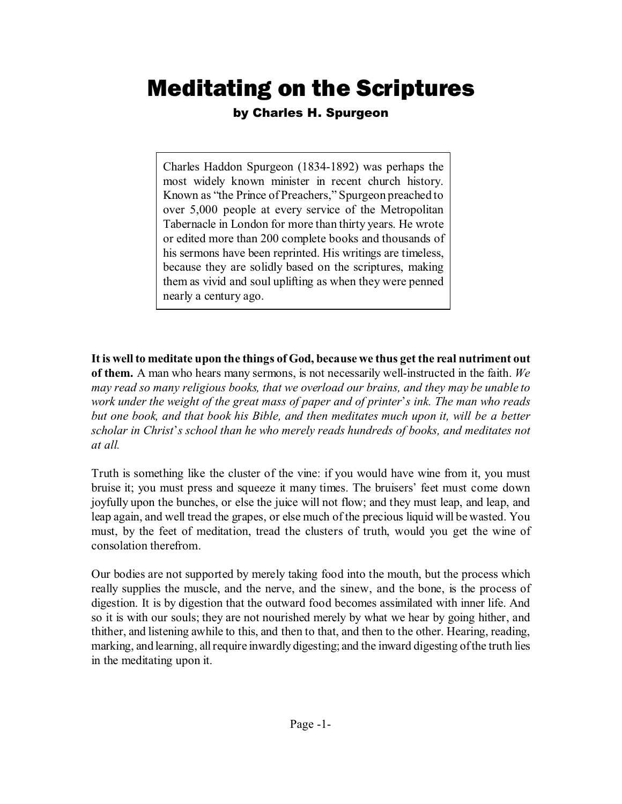## Meditating on the Scriptures

## by Charles H. Spurgeon

Charles Haddon Spurgeon (1834-1892) was perhaps the most widely known minister in recent church history. Known as "the Prince of Preachers," Spurgeon preached to over 5,000 people at every service of the Metropolitan Tabernacle in London for more than thirty years. He wrote or edited more than 200 complete books and thousands of his sermons have been reprinted. His writings are timeless, because they are solidly based on the scriptures, making them as vivid and soul uplifting as when they were penned nearly a century ago.

**It is well to meditate upon the things of God, because we thus get the real nutriment out of them.** A man who hears many sermons, is not necessarily well-instructed in the faith. *We may read so many religious books, that we overload our brains, and they may be unable to work under the weight of the great mass of paper and of printer\*s ink. The man who reads but one book, and that book his Bible, and then meditates much upon it, will be a better scholar in Christ\*s school than he who merely reads hundreds of books, and meditates not at all.* 

Truth is something like the cluster of the vine: if you would have wine from it, you must bruise it; you must press and squeeze it many times. The bruisers\* feet must come down joyfully upon the bunches, or else the juice will not flow; and they must leap, and leap, and leap again, and well tread the grapes, or else much of the precious liquid will be wasted. You must, by the feet of meditation, tread the clusters of truth, would you get the wine of consolation therefrom.

Our bodies are not supported by merely taking food into the mouth, but the process which really supplies the muscle, and the nerve, and the sinew, and the bone, is the process of digestion. It is by digestion that the outward food becomes assimilated with inner life. And so it is with our souls; they are not nourished merely by what we hear by going hither, and thither, and listening awhile to this, and then to that, and then to the other. Hearing, reading, marking, and learning, all require inwardly digesting; and the inward digesting of the truth lies in the meditating upon it.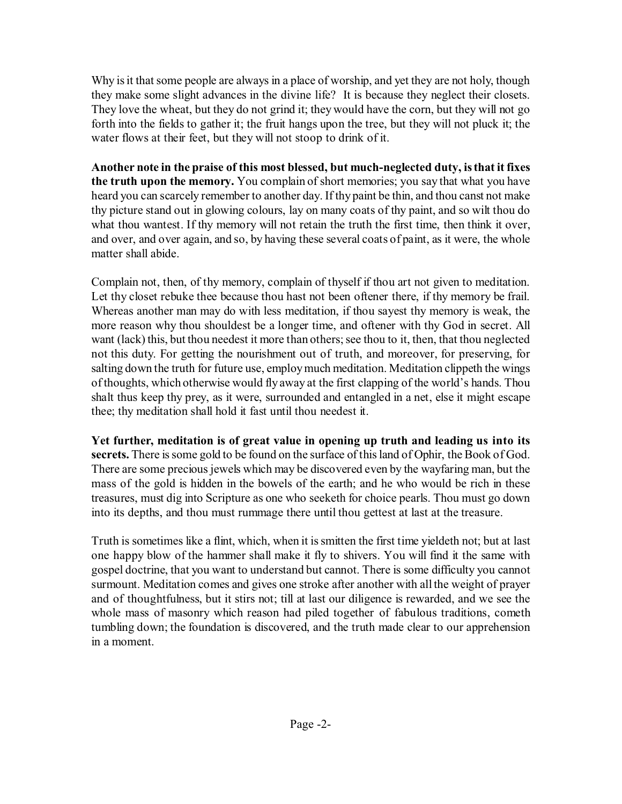Why is it that some people are always in a place of worship, and yet they are not holy, though they make some slight advances in the divine life? It is because they neglect their closets. They love the wheat, but they do not grind it; they would have the corn, but they will not go forth into the fields to gather it; the fruit hangs upon the tree, but they will not pluck it; the water flows at their feet, but they will not stoop to drink of it.

**Another note in the praise of this most blessed, but much-neglected duty, is that it fixes the truth upon the memory.** You complain of short memories; you say that what you have heard you can scarcely remember to another day. If thy paint be thin, and thou canst not make thy picture stand out in glowing colours, lay on many coats of thy paint, and so wilt thou do what thou wantest. If thy memory will not retain the truth the first time, then think it over, and over, and over again, and so, by having these several coats of paint, as it were, the whole matter shall abide.

Complain not, then, of thy memory, complain of thyself if thou art not given to meditation. Let thy closet rebuke thee because thou hast not been oftener there, if thy memory be frail. Whereas another man may do with less meditation, if thou sayest thy memory is weak, the more reason why thou shouldest be a longer time, and oftener with thy God in secret. All want (lack) this, but thou needest it more than others; see thou to it, then, that thou neglected not this duty. For getting the nourishment out of truth, and moreover, for preserving, for salting down the truth for future use, employ much meditation. Meditation clippeth the wings of thoughts, which otherwise would fly away at the first clapping of the world\*s hands. Thou shalt thus keep thy prey, as it were, surrounded and entangled in a net, else it might escape thee; thy meditation shall hold it fast until thou needest it.

**Yet further, meditation is of great value in opening up truth and leading us into its secrets.** There is some gold to be found on the surface of this land of Ophir, the Book of God. There are some precious jewels which may be discovered even by the wayfaring man, but the mass of the gold is hidden in the bowels of the earth; and he who would be rich in these treasures, must dig into Scripture as one who seeketh for choice pearls. Thou must go down into its depths, and thou must rummage there until thou gettest at last at the treasure.

Truth is sometimes like a flint, which, when it is smitten the first time yieldeth not; but at last one happy blow of the hammer shall make it fly to shivers. You will find it the same with gospel doctrine, that you want to understand but cannot. There is some difficulty you cannot surmount. Meditation comes and gives one stroke after another with all the weight of prayer and of thoughtfulness, but it stirs not; till at last our diligence is rewarded, and we see the whole mass of masonry which reason had piled together of fabulous traditions, cometh tumbling down; the foundation is discovered, and the truth made clear to our apprehension in a moment.